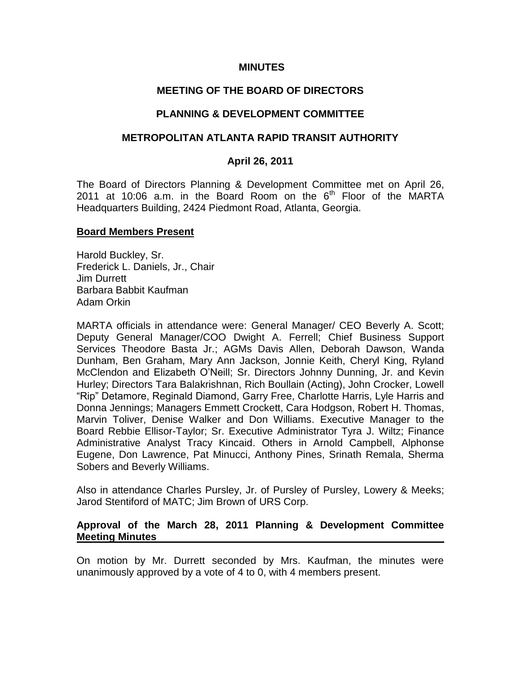#### **MINUTES**

# **MEETING OF THE BOARD OF DIRECTORS**

# **PLANNING & DEVELOPMENT COMMITTEE**

## **METROPOLITAN ATLANTA RAPID TRANSIT AUTHORITY**

## **April 26, 2011**

The Board of Directors Planning & Development Committee met on April 26, 2011 at 10:06 a.m. in the Board Room on the  $6<sup>th</sup>$  Floor of the MARTA Headquarters Building, 2424 Piedmont Road, Atlanta, Georgia.

#### **Board Members Present**

Harold Buckley, Sr. Frederick L. Daniels, Jr., Chair Jim Durrett Barbara Babbit Kaufman Adam Orkin

MARTA officials in attendance were: General Manager/ CEO Beverly A. Scott; Deputy General Manager/COO Dwight A. Ferrell; Chief Business Support Services Theodore Basta Jr.; AGMs Davis Allen, Deborah Dawson, Wanda Dunham, Ben Graham, Mary Ann Jackson, Jonnie Keith, Cheryl King, Ryland McClendon and Elizabeth O'Neill; Sr. Directors Johnny Dunning, Jr. and Kevin Hurley; Directors Tara Balakrishnan, Rich Boullain (Acting), John Crocker, Lowell "Rip" Detamore, Reginald Diamond, Garry Free, Charlotte Harris, Lyle Harris and Donna Jennings; Managers Emmett Crockett, Cara Hodgson, Robert H. Thomas, Marvin Toliver, Denise Walker and Don Williams. Executive Manager to the Board Rebbie Ellisor-Taylor; Sr. Executive Administrator Tyra J. Wiltz; Finance Administrative Analyst Tracy Kincaid. Others in Arnold Campbell, Alphonse Eugene, Don Lawrence, Pat Minucci, Anthony Pines, Srinath Remala, Sherma Sobers and Beverly Williams.

Also in attendance Charles Pursley, Jr. of Pursley of Pursley, Lowery & Meeks; Jarod Stentiford of MATC; Jim Brown of URS Corp.

## **Approval of the March 28, 2011 Planning & Development Committee Meeting Minutes**

On motion by Mr. Durrett seconded by Mrs. Kaufman, the minutes were unanimously approved by a vote of 4 to 0, with 4 members present.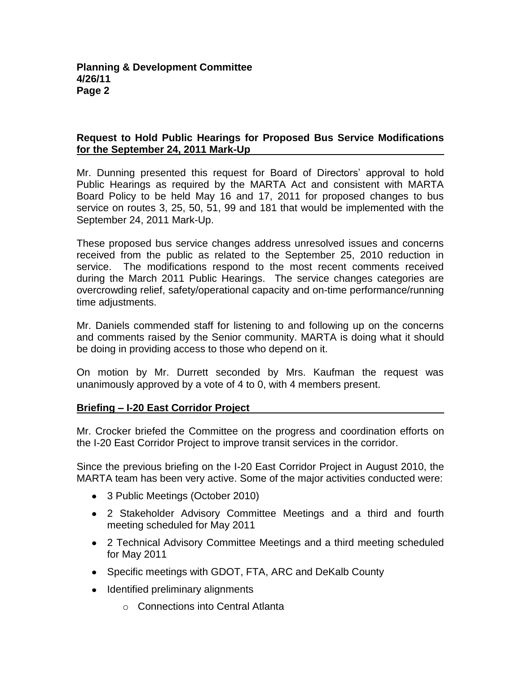# **Request to Hold Public Hearings for Proposed Bus Service Modifications for the September 24, 2011 Mark-Up**

Mr. Dunning presented this request for Board of Directors' approval to hold Public Hearings as required by the MARTA Act and consistent with MARTA Board Policy to be held May 16 and 17, 2011 for proposed changes to bus service on routes 3, 25, 50, 51, 99 and 181 that would be implemented with the September 24, 2011 Mark-Up.

These proposed bus service changes address unresolved issues and concerns received from the public as related to the September 25, 2010 reduction in service. The modifications respond to the most recent comments received during the March 2011 Public Hearings. The service changes categories are overcrowding relief, safety/operational capacity and on-time performance/running time adjustments.

Mr. Daniels commended staff for listening to and following up on the concerns and comments raised by the Senior community. MARTA is doing what it should be doing in providing access to those who depend on it.

On motion by Mr. Durrett seconded by Mrs. Kaufman the request was unanimously approved by a vote of 4 to 0, with 4 members present.

# **Briefing – I-20 East Corridor Project**

Mr. Crocker briefed the Committee on the progress and coordination efforts on the I-20 East Corridor Project to improve transit services in the corridor.

Since the previous briefing on the I-20 East Corridor Project in August 2010, the MARTA team has been very active. Some of the major activities conducted were:

- 3 Public Meetings (October 2010)
- 2 Stakeholder Advisory Committee Meetings and a third and fourth meeting scheduled for May 2011
- 2 Technical Advisory Committee Meetings and a third meeting scheduled for May 2011
- Specific meetings with GDOT, FTA, ARC and DeKalb County
- Identified preliminary alignments
	- o Connections into Central Atlanta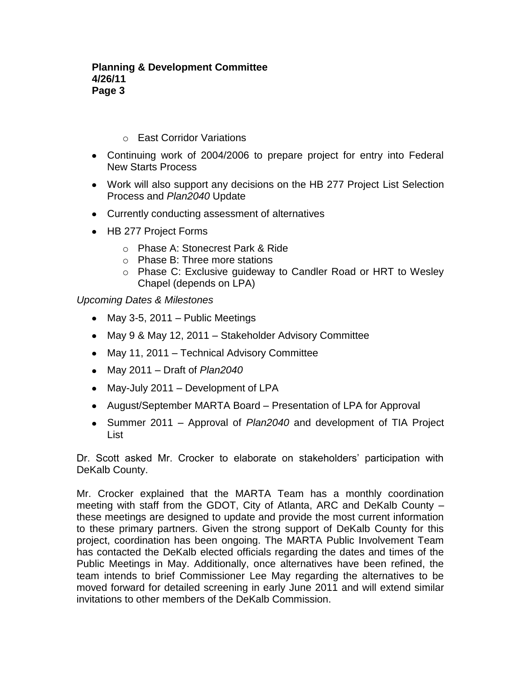## o East Corridor Variations

- Continuing work of 2004/2006 to prepare project for entry into Federal New Starts Process
- Work will also support any decisions on the HB 277 Project List Selection Process and *Plan2040* Update
- Currently conducting assessment of alternatives
- HB 277 Project Forms
	- o Phase A: Stonecrest Park & Ride
	- o Phase B: Three more stations
	- o Phase C: Exclusive guideway to Candler Road or HRT to Wesley Chapel (depends on LPA)

*Upcoming Dates & Milestones*

- May 3-5, 2011 Public Meetings
- May 9 & May 12, 2011 Stakeholder Advisory Committee
- May 11, 2011 Technical Advisory Committee
- May 2011 Draft of *Plan2040*
- May-July 2011 Development of LPA
- August/September MARTA Board Presentation of LPA for Approval
- Summer 2011 Approval of *Plan2040* and development of TIA Project List

Dr. Scott asked Mr. Crocker to elaborate on stakeholders' participation with DeKalb County.

Mr. Crocker explained that the MARTA Team has a monthly coordination meeting with staff from the GDOT, City of Atlanta, ARC and DeKalb County – these meetings are designed to update and provide the most current information to these primary partners. Given the strong support of DeKalb County for this project, coordination has been ongoing. The MARTA Public Involvement Team has contacted the DeKalb elected officials regarding the dates and times of the Public Meetings in May. Additionally, once alternatives have been refined, the team intends to brief Commissioner Lee May regarding the alternatives to be moved forward for detailed screening in early June 2011 and will extend similar invitations to other members of the DeKalb Commission.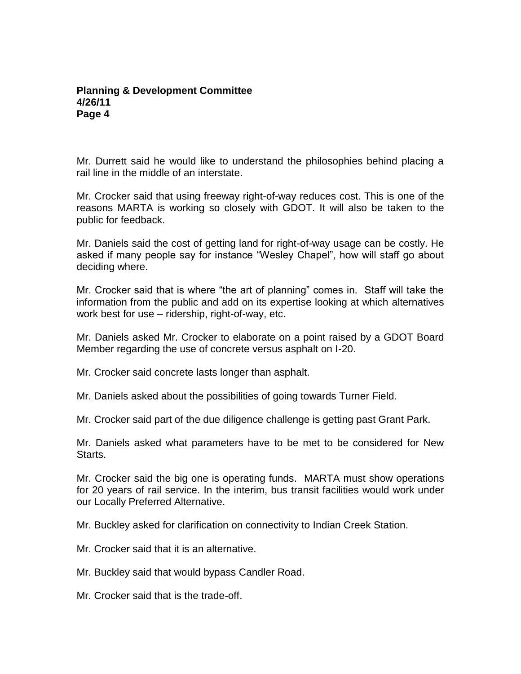Mr. Durrett said he would like to understand the philosophies behind placing a rail line in the middle of an interstate.

Mr. Crocker said that using freeway right-of-way reduces cost. This is one of the reasons MARTA is working so closely with GDOT. It will also be taken to the public for feedback.

Mr. Daniels said the cost of getting land for right-of-way usage can be costly. He asked if many people say for instance "Wesley Chapel", how will staff go about deciding where.

Mr. Crocker said that is where "the art of planning" comes in. Staff will take the information from the public and add on its expertise looking at which alternatives work best for use – ridership, right-of-way, etc.

Mr. Daniels asked Mr. Crocker to elaborate on a point raised by a GDOT Board Member regarding the use of concrete versus asphalt on I-20.

Mr. Crocker said concrete lasts longer than asphalt.

Mr. Daniels asked about the possibilities of going towards Turner Field.

Mr. Crocker said part of the due diligence challenge is getting past Grant Park.

Mr. Daniels asked what parameters have to be met to be considered for New Starts.

Mr. Crocker said the big one is operating funds. MARTA must show operations for 20 years of rail service. In the interim, bus transit facilities would work under our Locally Preferred Alternative.

Mr. Buckley asked for clarification on connectivity to Indian Creek Station.

Mr. Crocker said that it is an alternative.

Mr. Buckley said that would bypass Candler Road.

Mr. Crocker said that is the trade-off.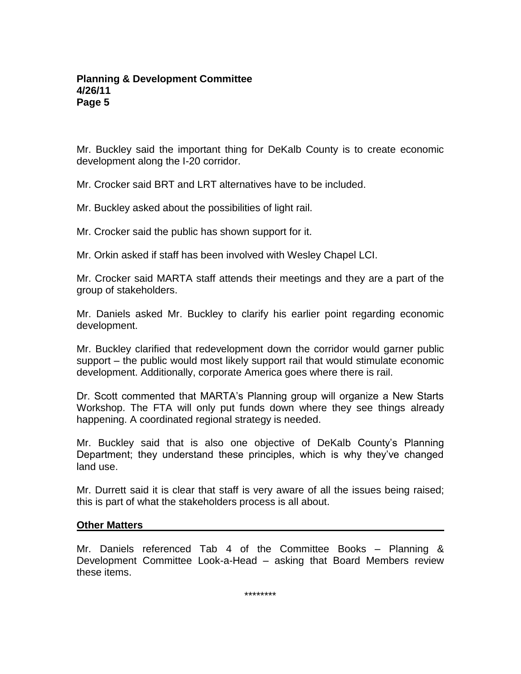Mr. Buckley said the important thing for DeKalb County is to create economic development along the I-20 corridor.

Mr. Crocker said BRT and LRT alternatives have to be included.

Mr. Buckley asked about the possibilities of light rail.

Mr. Crocker said the public has shown support for it.

Mr. Orkin asked if staff has been involved with Wesley Chapel LCI.

Mr. Crocker said MARTA staff attends their meetings and they are a part of the group of stakeholders.

Mr. Daniels asked Mr. Buckley to clarify his earlier point regarding economic development.

Mr. Buckley clarified that redevelopment down the corridor would garner public support – the public would most likely support rail that would stimulate economic development. Additionally, corporate America goes where there is rail.

Dr. Scott commented that MARTA's Planning group will organize a New Starts Workshop. The FTA will only put funds down where they see things already happening. A coordinated regional strategy is needed.

Mr. Buckley said that is also one objective of DeKalb County's Planning Department; they understand these principles, which is why they've changed land use.

Mr. Durrett said it is clear that staff is very aware of all the issues being raised; this is part of what the stakeholders process is all about.

#### **Other Matters**

Mr. Daniels referenced Tab 4 of the Committee Books – Planning & Development Committee Look-a-Head – asking that Board Members review these items.

\*\*\*\*\*\*\*\*